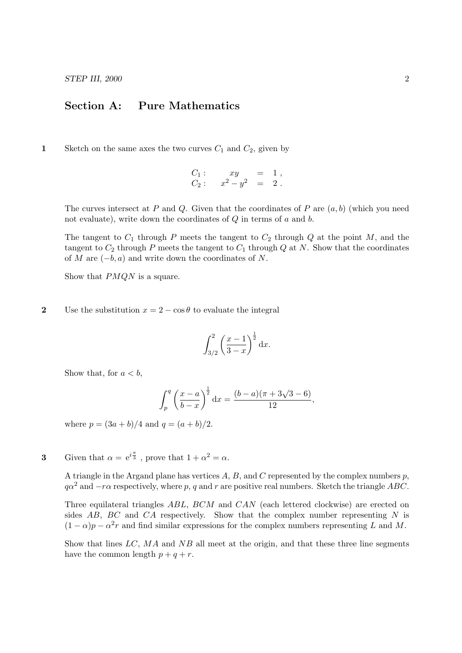## Section A: Pure Mathematics

1 Sketch on the same axes the two curves  $C_1$  and  $C_2$ , given by

$$
C_1:
$$
  $xy = 1,$   
\n $C_2:$   $x^2 - y^2 = 2.$ 

The curves intersect at P and Q. Given that the coordinates of P are  $(a, b)$  (which you need not evaluate), write down the coordinates of  $Q$  in terms of  $a$  and  $b$ .

The tangent to  $C_1$  through P meets the tangent to  $C_2$  through Q at the point M, and the tangent to  $C_2$  through P meets the tangent to  $C_1$  through Q at N. Show that the coordinates of M are  $(-b, a)$  and write down the coordinates of N.

Show that *PMON* is a square.

2 Use the substitution  $x = 2 - \cos \theta$  to evaluate the integral

$$
\int_{3/2}^{2} \left(\frac{x-1}{3-x}\right)^{\frac{1}{2}} \mathrm{d}x.
$$

Show that, for  $a < b$ ,

$$
\int_{p}^{q} \left(\frac{x-a}{b-x}\right)^{\frac{1}{2}} dx = \frac{(b-a)(\pi + 3\sqrt{3} - 6)}{12},
$$

where  $p = (3a + b)/4$  and  $q = (a + b)/2$ .

**3** Given that  $\alpha = e^{i\frac{\pi}{3}}$ , prove that  $1 + \alpha^2 = \alpha$ .

A triangle in the Argand plane has vertices  $A, B$ , and C represented by the complex numbers  $p$ ,  $q\alpha^2$  and  $-r\alpha$  respectively, where p, q and r are positive real numbers. Sketch the triangle ABC.

Three equilateral triangles ABL, BCM and CAN (each lettered clockwise) are erected on sides  $AB$ ,  $BC$  and  $CA$  respectively. Show that the complex number representing N is  $(1 - \alpha)p - \alpha^2r$  and find similar expressions for the complex numbers representing L and M.

Show that lines  $LC$ ,  $MA$  and  $NB$  all meet at the origin, and that these three line segments have the common length  $p + q + r$ .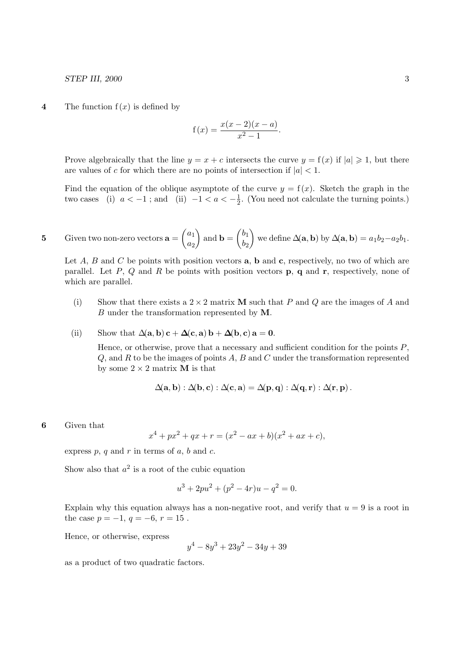STEP III, 2000 3

4 The function  $f(x)$  is defined by

$$
f(x) = \frac{x(x-2)(x-a)}{x^2 - 1}.
$$

Prove algebraically that the line  $y = x + c$  intersects the curve  $y = f(x)$  if  $|a| \geq 1$ , but there are values of c for which there are no points of intersection if  $|a| < 1$ .

Find the equation of the oblique asymptote of the curve  $y = f(x)$ . Sketch the graph in the two cases (i)  $a < -1$ ; and (ii)  $-1 < a < -\frac{1}{2}$  $\frac{1}{2}$ . (You need not calculate the turning points.)

5 Given two non-zero vectors 
$$
\mathbf{a} = \begin{pmatrix} a_1 \\ a_2 \end{pmatrix}
$$
 and  $\mathbf{b} = \begin{pmatrix} b_1 \\ b_2 \end{pmatrix}$  we define  $\Delta(\mathbf{a}, \mathbf{b})$  by  $\Delta(\mathbf{a}, \mathbf{b}) = a_1b_2 - a_2b_1$ .

Let A, B and C be points with position vectors  $\bf{a}$ ,  $\bf{b}$  and  $\bf{c}$ , respectively, no two of which are parallel. Let P, Q and R be points with position vectors **p**, q and **r**, respectively, none of which are parallel.

- (i) Show that there exists a  $2 \times 2$  matrix **M** such that P and Q are the images of A and B under the transformation represented by M.
- (ii) Show that  $\Delta(\mathbf{a}, \mathbf{b}) \mathbf{c} + \Delta(\mathbf{c}, \mathbf{a}) \mathbf{b} + \Delta(\mathbf{b}, \mathbf{c}) \mathbf{a} = \mathbf{0}$ .

Hence, or otherwise, prove that a necessary and sufficient condition for the points  $P$ ,  $Q$ , and  $R$  to be the images of points  $A$ ,  $B$  and  $C$  under the transformation represented by some  $2 \times 2$  matrix **M** is that

$$
\Delta(\mathbf{a},\mathbf{b}) : \Delta(\mathbf{b},\mathbf{c}) : \Delta(\mathbf{c},\mathbf{a}) = \Delta(\mathbf{p},\mathbf{q}) : \Delta(\mathbf{q},\mathbf{r}) : \Delta(\mathbf{r},\mathbf{p}).
$$

6 Given that

$$
x^{4} + px^{2} + qx + r = (x^{2} - ax + b)(x^{2} + ax + c),
$$

express  $p, q$  and  $r$  in terms of  $a, b$  and  $c$ .

Show also that  $a^2$  is a root of the cubic equation

$$
u^3 + 2pu^2 + (p^2 - 4r)u - q^2 = 0.
$$

Explain why this equation always has a non-negative root, and verify that  $u = 9$  is a root in the case  $p = -1, q = -6, r = 15$ .

Hence, or otherwise, express

$$
y^4 - 8y^3 + 23y^2 - 34y + 39
$$

as a product of two quadratic factors.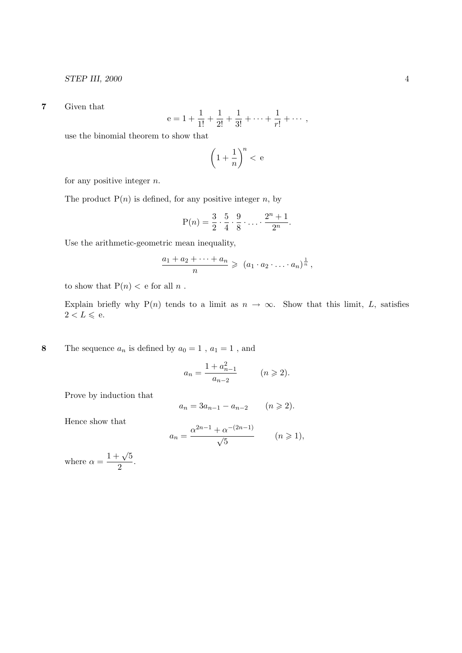7 Given that

$$
e = 1 + \frac{1}{1!} + \frac{1}{2!} + \frac{1}{3!} + \dots + \frac{1}{r!} + \dots,
$$

use the binomial theorem to show that

$$
\left(1+\frac{1}{n}\right)^n < e
$$

for any positive integer  $n$ .

The product  $P(n)$  is defined, for any positive integer n, by

$$
P(n) = \frac{3}{2} \cdot \frac{5}{4} \cdot \frac{9}{8} \cdot \ldots \cdot \frac{2^n + 1}{2^n}.
$$

Use the arithmetic-geometric mean inequality,

$$
\frac{a_1 + a_2 + \dots + a_n}{n} \geqslant (a_1 \cdot a_2 \cdot \dots \cdot a_n)^{\frac{1}{n}},
$$

to show that  $P(n) < e$  for all n.

Explain briefly why P(n) tends to a limit as  $n \to \infty$ . Show that this limit, L, satisfies  $2 < L \leqslant$ e.

8 The sequence  $a_n$  is defined by  $a_0 = 1$ ,  $a_1 = 1$ , and

$$
a_n = \frac{1 + a_{n-1}^2}{a_{n-2}} \qquad (n \ge 2).
$$

Prove by induction that

$$
a_n = 3a_{n-1} - a_{n-2} \qquad (n \geq 2).
$$

Hence show that

$$
a_n = \frac{\alpha^{2n-1} + \alpha^{-(2n-1)}}{\sqrt{5}} \qquad (n \ge 1),
$$

where  $\alpha = \frac{1 + \sqrt{5}}{2}$  $\frac{v}{2}$ .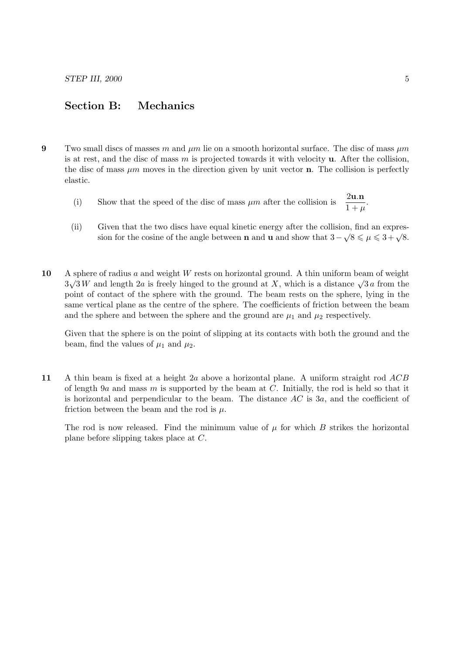## Section B: Mechanics

- 9 Two small discs of masses m and  $\mu$ m lie on a smooth horizontal surface. The disc of mass  $\mu$ m is at rest, and the disc of mass  $m$  is projected towards it with velocity  $\bf{u}$ . After the collision, the disc of mass  $\mu m$  moves in the direction given by unit vector **n**. The collision is perfectly elastic.
	- (i) Show that the speed of the disc of mass  $\mu m$  after the collision is  $\frac{2\mathbf{u} \cdot \mathbf{n}}{1+\mu}$ .
	- (ii) Given that the two discs have equal kinetic energy after the collision, find an expres-Siven that the two discs have equal kinetic energy after the consion, find an expression for the cosine of the angle between **n** and **u** and show that  $3 - \sqrt{8} \le \mu \le 3 + \sqrt{8}$ .
- 10 A sphere of radius a and weight W rests on horizontal ground. A thin uniform beam of weight  $3\sqrt{3}W$  and length 2a is freely hinged to the ground at X, which is a distance  $\sqrt{3}a$  from the point of contact of the sphere with the ground. The beam rests on the sphere, lying in the same vertical plane as the centre of the sphere. The coefficients of friction between the beam and the sphere and between the sphere and the ground are  $\mu_1$  and  $\mu_2$  respectively.

Given that the sphere is on the point of slipping at its contacts with both the ground and the beam, find the values of  $\mu_1$  and  $\mu_2$ .

11 A thin beam is fixed at a height 2a above a horizontal plane. A uniform straight rod ACB of length 9a and mass m is supported by the beam at  $C$ . Initially, the rod is held so that it is horizontal and perpendicular to the beam. The distance  $AC$  is 3a, and the coefficient of friction between the beam and the rod is  $\mu$ .

The rod is now released. Find the minimum value of  $\mu$  for which  $B$  strikes the horizontal plane before slipping takes place at C.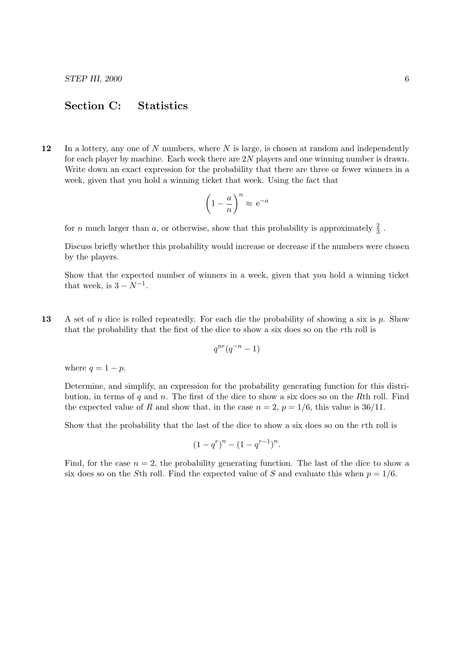## Section C: Statistics

12 In a lottery, any one of  $N$  numbers, where  $N$  is large, is chosen at random and independently for each player by machine. Each week there are 2N players and one winning number is drawn. Write down an exact expression for the probability that there are three or fewer winners in a week, given that you hold a winning ticket that week. Using the fact that

$$
\left(1 - \frac{a}{n}\right)^n \approx e^{-a}
$$

for *n* much larger than *a*, or otherwise, show that this probability is approximately  $\frac{2}{3}$ .

Discuss briefly whether this probability would increase or decrease if the numbers were chosen by the players.

Show that the expected number of winners in a week, given that you hold a winning ticket that week, is  $3 - N^{-1}$ .

13 A set of n dice is rolled repeatedly. For each die the probability of showing a six is p. Show that the probability that the first of the dice to show a six does so on the rth roll is

$$
q^{nr}(q^{-n}-1)
$$

where  $q = 1 - p$ .

Determine, and simplify, an expression for the probability generating function for this distribution, in terms of  $q$  and  $n$ . The first of the dice to show a six does so on the Rth roll. Find the expected value of R and show that, in the case  $n = 2$ ,  $p = 1/6$ , this value is 36/11.

Show that the probability that the last of the dice to show a six does so on the rth roll is

$$
(1 - q^r)^n - (1 - q^{r-1})^n.
$$

Find, for the case  $n = 2$ , the probability generating function. The last of the dice to show a six does so on the Sth roll. Find the expected value of S and evaluate this when  $p = 1/6$ .